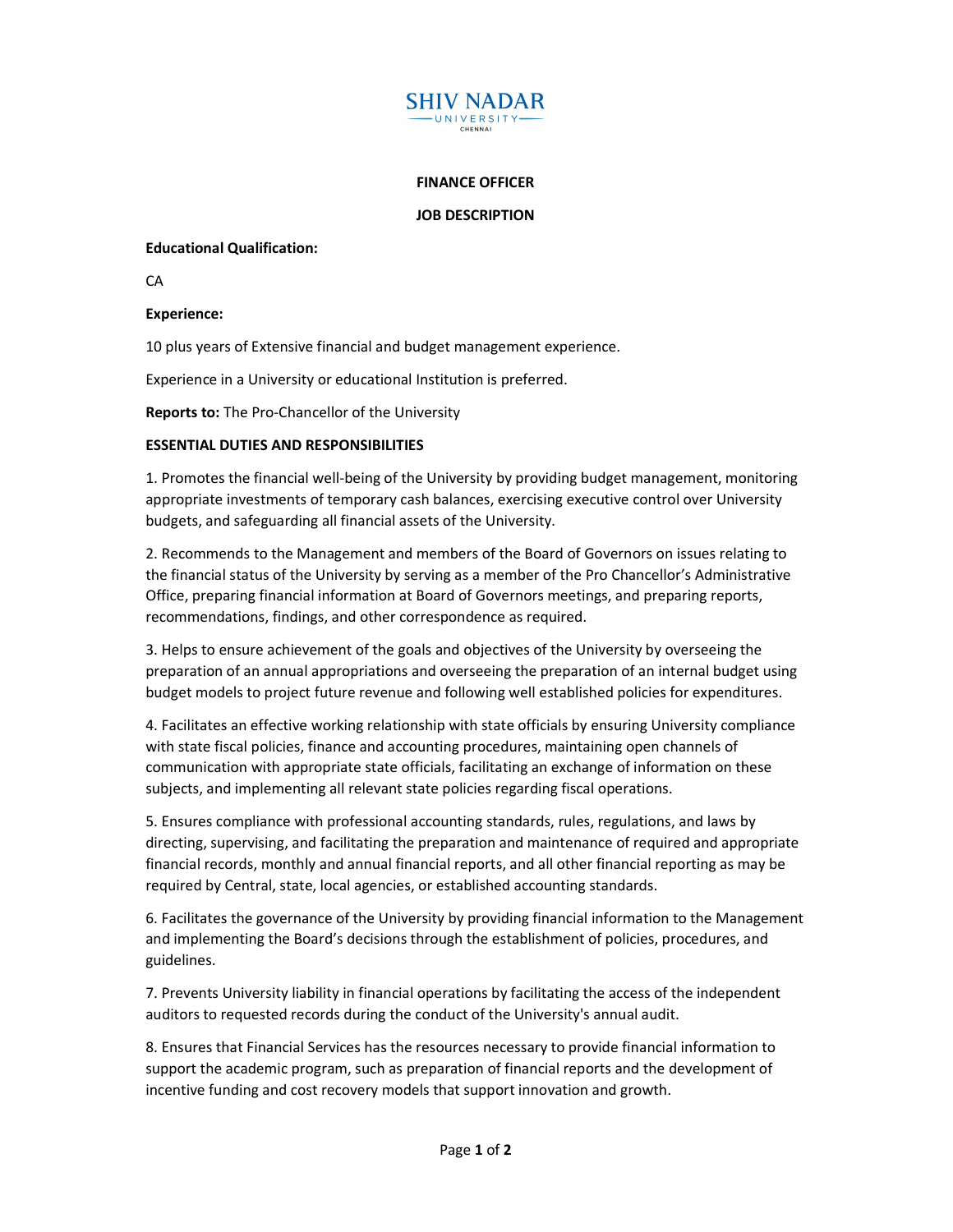

## FINANCE OFFICER

JOB DESCRIPTION

## Educational Qualification:

**CA** 

## Experience:

10 plus years of Extensive financial and budget management experience.

Experience in a University or educational Institution is preferred.

Reports to: The Pro-Chancellor of the University

## ESSENTIAL DUTIES AND RESPONSIBILITIES

1. Promotes the financial well-being of the University by providing budget management, monitoring appropriate investments of temporary cash balances, exercising executive control over University budgets, and safeguarding all financial assets of the University.

2. Recommends to the Management and members of the Board of Governors on issues relating to the financial status of the University by serving as a member of the Pro Chancellor's Administrative Office, preparing financial information at Board of Governors meetings, and preparing reports, recommendations, findings, and other correspondence as required.

3. Helps to ensure achievement of the goals and objectives of the University by overseeing the preparation of an annual appropriations and overseeing the preparation of an internal budget using budget models to project future revenue and following well established policies for expenditures.

4. Facilitates an effective working relationship with state officials by ensuring University compliance with state fiscal policies, finance and accounting procedures, maintaining open channels of communication with appropriate state officials, facilitating an exchange of information on these subjects, and implementing all relevant state policies regarding fiscal operations.

5. Ensures compliance with professional accounting standards, rules, regulations, and laws by directing, supervising, and facilitating the preparation and maintenance of required and appropriate financial records, monthly and annual financial reports, and all other financial reporting as may be required by Central, state, local agencies, or established accounting standards.

6. Facilitates the governance of the University by providing financial information to the Management and implementing the Board's decisions through the establishment of policies, procedures, and guidelines.

7. Prevents University liability in financial operations by facilitating the access of the independent auditors to requested records during the conduct of the University's annual audit.

8. Ensures that Financial Services has the resources necessary to provide financial information to support the academic program, such as preparation of financial reports and the development of incentive funding and cost recovery models that support innovation and growth.